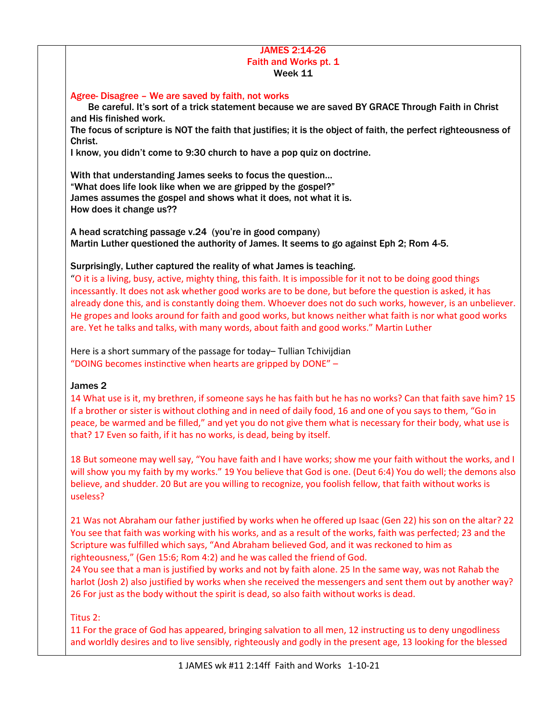### JAMES 2:14-26 Faith and Works pt. 1 Week 11

#### Agree- Disagree – We are saved by faith, not works

 Be careful. It's sort of a trick statement because we are saved BY GRACE Through Faith in Christ and His finished work.

The focus of scripture is NOT the faith that justifies; it is the object of faith, the perfect righteousness of Christ.

I know, you didn't come to 9:30 church to have a pop quiz on doctrine.

With that understanding James seeks to focus the question… "What does life look like when we are gripped by the gospel?" James assumes the gospel and shows what it does, not what it is. How does it change us??

A head scratching passage v.24 (you're in good company) Martin Luther questioned the authority of James. It seems to go against Eph 2; Rom 4-5.

### Surprisingly, Luther captured the reality of what James is teaching.

"O it is a living, busy, active, mighty thing, this faith. It is impossible for it not to be doing good things incessantly. It does not ask whether good works are to be done, but before the question is asked, it has already done this, and is constantly doing them. Whoever does not do such works, however, is an unbeliever. He gropes and looks around for faith and good works, but knows neither what faith is nor what good works are. Yet he talks and talks, with many words, about faith and good works." Martin Luther

Here is a short summary of the passage for today– Tullian Tchivijdian "DOING becomes instinctive when hearts are gripped by DONE" –

# James 2

14 What use is it, my brethren, if someone says he has faith but he has no works? Can that faith save him? 15 If a brother or sister is without clothing and in need of daily food, 16 and one of you says to them, "Go in peace, be warmed and be filled," and yet you do not give them what is necessary for their body, what use is that? 17 Even so faith, if it has no works, is dead, being by itself.

18 But someone may well say, "You have faith and I have works; show me your faith without the works, and I will show you my faith by my works." 19 You believe that God is one. (Deut 6:4) You do well; the demons also believe, and shudder. 20 But are you willing to recognize, you foolish fellow, that faith without works is useless?

21 Was not Abraham our father justified by works when he offered up Isaac (Gen 22) his son on the altar? 22 You see that faith was working with his works, and as a result of the works, faith was perfected; 23 and the Scripture was fulfilled which says, "And Abraham believed God, and it was reckoned to him as righteousness," (Gen 15:6; Rom 4:2) and he was called the friend of God.

24 You see that a man is justified by works and not by faith alone. 25 In the same way, was not Rahab the harlot (Josh 2) also justified by works when she received the messengers and sent them out by another way? 26 For just as the body without the spirit is dead, so also faith without works is dead.

Titus 2:

11 For the grace of God has appeared, bringing salvation to all men, 12 instructing us to deny ungodliness and worldly desires and to live sensibly, righteously and godly in the present age, 13 looking for the blessed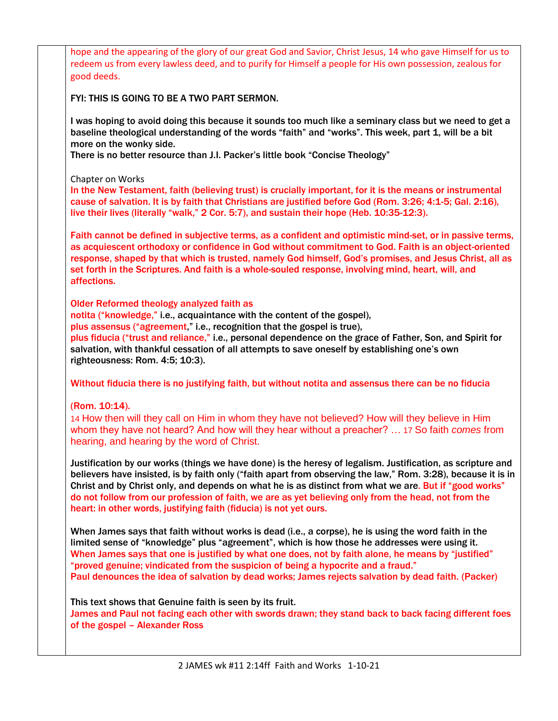hope and the appearing of the glory of our great God and Savior, Christ Jesus, 14 who gave Himself for us to redeem us from every lawless deed, and to purify for Himself a people for His own possession, zealous for good deeds. FYI: THIS IS GOING TO BE A TWO PART SERMON. I was hoping to avoid doing this because it sounds too much like a seminary class but we need to get a baseline theological understanding of the words "faith" and "works". This week, part 1, will be a bit more on the wonky side. There is no better resource than J.I. Packer's little book "Concise Theology" Chapter on Works In the New Testament, faith (believing trust) is crucially important, for it is the means or instrumental cause of salvation. It is by faith that Christians are justified before God (Rom. 3:26; 4:1-5; Gal. 2:16), live their lives (literally "walk," 2 Cor. 5:7), and sustain their hope (Heb. 10:35-12:3). Faith cannot be defined in subjective terms, as a confident and optimistic mind-set, or in passive terms, as acquiescent orthodoxy or confidence in God without commitment to God. Faith is an object-oriented response, shaped by that which is trusted, namely God himself, God's promises, and Jesus Christ, all as set forth in the Scriptures. And faith is a whole-souled response, involving mind, heart, will, and affections. Older Reformed theology analyzed faith as notita ("knowledge," i.e., acquaintance with the content of the gospel), plus assensus ("agreement," i.e., recognition that the gospel is true), plus fiducia ("trust and reliance," i.e., personal dependence on the grace of Father, Son, and Spirit for salvation, with thankful cessation of all attempts to save oneself by establishing one's own righteousness: Rom. 4:5; 10:3). Without fiducia there is no justifying faith, but without notita and assensus there can be no fiducia (Rom. 10:14). 14 How then will they call on Him in whom they have not believed? How will they believe in Him whom they have not heard? And how will they hear without a preacher? … 17 So faith *comes* from hearing, and hearing by the word of Christ. Justification by our works (things we have done) is the heresy of legalism. Justification, as scripture and believers have insisted, is by faith only ("faith apart from observing the law," Rom. 3:28), because it is in Christ and by Christ only, and depends on what he is as distinct from what we are. But if "good works" do not follow from our profession of faith, we are as yet believing only from the head, not from the heart: in other words, justifying faith (fiducia) is not yet ours. When James says that faith without works is dead (i.e., a corpse), he is using the word faith in the limited sense of "knowledge" plus "agreement", which is how those he addresses were using it. When James says that one is justified by what one does, not by faith alone, he means by "justified" "proved genuine; vindicated from the suspicion of being a hypocrite and a fraud." Paul denounces the idea of salvation by dead works; James rejects salvation by dead faith. (Packer) This text shows that Genuine faith is seen by its fruit. James and Paul not facing each other with swords drawn; they stand back to back facing different foes of the gospel – Alexander Ross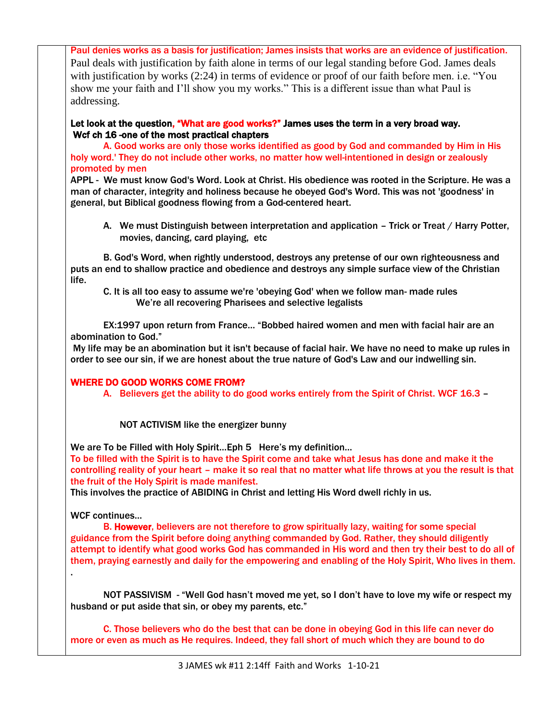Paul denies works as a basis for justification; James insists that works are an evidence of justification. Paul deals with justification by faith alone in terms of our legal standing before God. James deals with justification by works (2:24) in terms of evidence or proof of our faith before men. i.e. "You show me your faith and I'll show you my works." This is a different issue than what Paul is addressing.

Let look at the question, "What are good works?" James uses the term in a very broad way. Wcf ch 16 -one of the most practical chapters

A. Good works are only those works identified as good by God and commanded by Him in His holy word.' They do not include other works, no matter how well-intentioned in design or zealously promoted by men

APPL - We must know God's Word. Look at Christ. His obedience was rooted in the Scripture. He was a man of character, integrity and holiness because he obeyed God's Word. This was not 'goodness' in general, but Biblical goodness flowing from a God-centered heart.

A. We must Distinguish between interpretation and application – Trick or Treat / Harry Potter, movies, dancing, card playing, etc

B. God's Word, when rightly understood, destroys any pretense of our own righteousness and puts an end to shallow practice and obedience and destroys any simple surface view of the Christian life.

C. It is all too easy to assume we're 'obeying God' when we follow man- made rules We're all recovering Pharisees and selective legalists

EX:1997 upon return from France… "Bobbed haired women and men with facial hair are an abomination to God."

My life may be an abomination but it isn't because of facial hair. We have no need to make up rules in order to see our sin, if we are honest about the true nature of God's Law and our indwelling sin.

# WHERE DO GOOD WORKS COME FROM?

A. Believers get the ability to do good works entirely from the Spirit of Christ. WCF 16.3 –

NOT ACTIVISM like the energizer bunny

We are To be Filled with Holy Spirit... Eph 5 Here's my definition...

To be filled with the Spirit is to have the Spirit come and take what Jesus has done and make it the controlling reality of your heart – make it so real that no matter what life throws at you the result is that the fruit of the Holy Spirit is made manifest.

This involves the practice of ABIDING in Christ and letting His Word dwell richly in us.

WCF continues…

.

B. However, believers are not therefore to grow spiritually lazy, waiting for some special guidance from the Spirit before doing anything commanded by God. Rather, they should diligently attempt to identify what good works God has commanded in His word and then try their best to do all of them, praying earnestly and daily for the empowering and enabling of the Holy Spirit, Who lives in them.

NOT PASSIVISM - "Well God hasn't moved me yet, so I don't have to love my wife or respect my husband or put aside that sin, or obey my parents, etc."

C. Those believers who do the best that can be done in obeying God in this life can never do more or even as much as He requires. Indeed, they fall short of much which they are bound to do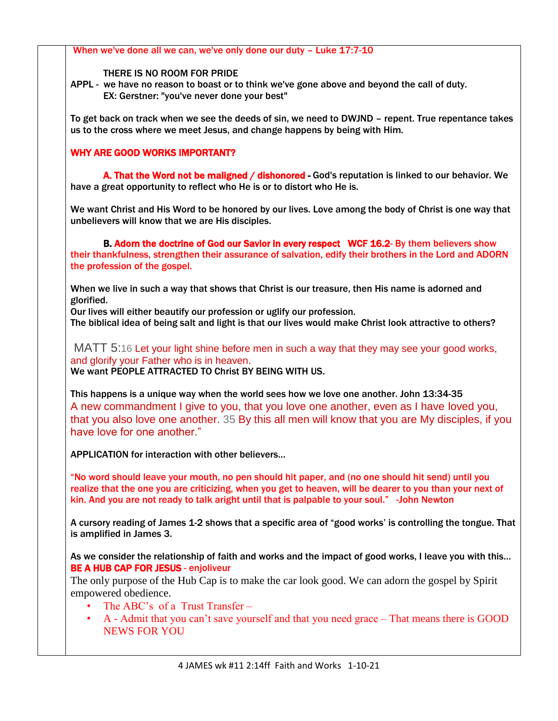| When we've done all we can, we've only done our duty - Luke 17:7-10                                                                                                                                                                                                                                               |
|-------------------------------------------------------------------------------------------------------------------------------------------------------------------------------------------------------------------------------------------------------------------------------------------------------------------|
| THERE IS NO ROOM FOR PRIDE<br>APPL - we have no reason to boast or to think we've gone above and beyond the call of duty.<br>EX: Gerstner: "you've never done your best"                                                                                                                                          |
| To get back on track when we see the deeds of sin, we need to DWJND - repent. True repentance takes<br>us to the cross where we meet Jesus, and change happens by being with Him.                                                                                                                                 |
| <b>WHY ARE GOOD WORKS IMPORTANT?</b>                                                                                                                                                                                                                                                                              |
| A. That the Word not be maligned / dishonored - God's reputation is linked to our behavior. We<br>have a great opportunity to reflect who He is or to distort who He is.                                                                                                                                          |
| We want Christ and His Word to be honored by our lives. Love among the body of Christ is one way that<br>unbelievers will know that we are His disciples.                                                                                                                                                         |
| B. Adorn the doctrine of God our Savior in every respect WCF 16.2- By them believers show<br>their thankfulness, strengthen their assurance of salvation, edify their brothers in the Lord and ADORN<br>the profession of the gospel.                                                                             |
| When we live in such a way that shows that Christ is our treasure, then His name is adorned and<br>glorified.                                                                                                                                                                                                     |
| Our lives will either beautify our profession or uglify our profession.<br>The biblical idea of being salt and light is that our lives would make Christ look attractive to others?                                                                                                                               |
| MATT 5:16 Let your light shine before men in such a way that they may see your good works,<br>and glorify your Father who is in heaven.<br>We want PEOPLE ATTRACTED TO Christ BY BEING WITH US.                                                                                                                   |
| This happens is a unique way when the world sees how we love one another. John 13:34-35<br>A new commandment I give to you, that you love one another, even as I have loved you,<br>that you also love one another. 35 By this all men will know that you are My disciples, if you<br>have love for one another." |
| <b>APPLICATION for interaction with other believers</b>                                                                                                                                                                                                                                                           |
| "No word should leave your mouth, no pen should hit paper, and (no one should hit send) until you<br>realize that the one you are criticizing, when you get to heaven, will be dearer to you than your next of<br>kin. And you are not ready to talk aright until that is palpable to your soul." - John Newton   |
| A cursory reading of James 1-2 shows that a specific area of "good works' is controlling the tongue. That<br>is amplified in James 3.                                                                                                                                                                             |
| As we consider the relationship of faith and works and the impact of good works, I leave you with this<br><b>BE A HUB CAP FOR JESUS - enjoliveur</b>                                                                                                                                                              |
| The only purpose of the Hub Cap is to make the car look good. We can adorn the gospel by Spirit<br>empowered obedience.                                                                                                                                                                                           |
| The ABC's of a Trust Transfer –<br>$\bullet$<br>A - Admit that you can't save yourself and that you need grace – That means there is GOOD<br>٠<br><b>NEWS FOR YOU</b>                                                                                                                                             |
|                                                                                                                                                                                                                                                                                                                   |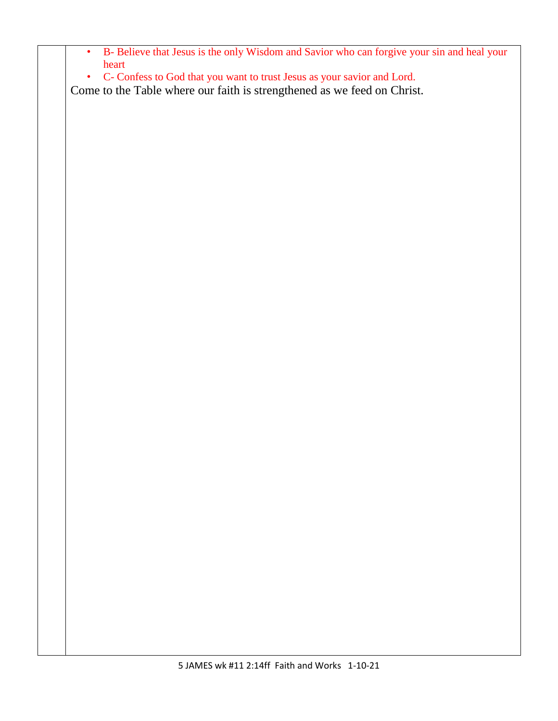| ٠<br>$\bullet$ | heart | B- Believe that Jesus is the only Wisdom and Savior who can forgive your sin and heal your<br>C- Confess to God that you want to trust Jesus as your savior and Lord. |  |  |  |
|----------------|-------|-----------------------------------------------------------------------------------------------------------------------------------------------------------------------|--|--|--|
|                |       | Come to the Table where our faith is strengthened as we feed on Christ.                                                                                               |  |  |  |
|                |       |                                                                                                                                                                       |  |  |  |
|                |       |                                                                                                                                                                       |  |  |  |
|                |       |                                                                                                                                                                       |  |  |  |
|                |       |                                                                                                                                                                       |  |  |  |
|                |       |                                                                                                                                                                       |  |  |  |
|                |       |                                                                                                                                                                       |  |  |  |
|                |       |                                                                                                                                                                       |  |  |  |
|                |       |                                                                                                                                                                       |  |  |  |
|                |       |                                                                                                                                                                       |  |  |  |
|                |       |                                                                                                                                                                       |  |  |  |
|                |       |                                                                                                                                                                       |  |  |  |
|                |       |                                                                                                                                                                       |  |  |  |
|                |       |                                                                                                                                                                       |  |  |  |
|                |       |                                                                                                                                                                       |  |  |  |
|                |       |                                                                                                                                                                       |  |  |  |
|                |       |                                                                                                                                                                       |  |  |  |
|                |       |                                                                                                                                                                       |  |  |  |
|                |       |                                                                                                                                                                       |  |  |  |
|                |       |                                                                                                                                                                       |  |  |  |
|                |       |                                                                                                                                                                       |  |  |  |
|                |       |                                                                                                                                                                       |  |  |  |
|                |       |                                                                                                                                                                       |  |  |  |
|                |       |                                                                                                                                                                       |  |  |  |
|                |       |                                                                                                                                                                       |  |  |  |
|                |       |                                                                                                                                                                       |  |  |  |
|                |       |                                                                                                                                                                       |  |  |  |
|                |       |                                                                                                                                                                       |  |  |  |
|                |       |                                                                                                                                                                       |  |  |  |
|                |       |                                                                                                                                                                       |  |  |  |
|                |       |                                                                                                                                                                       |  |  |  |